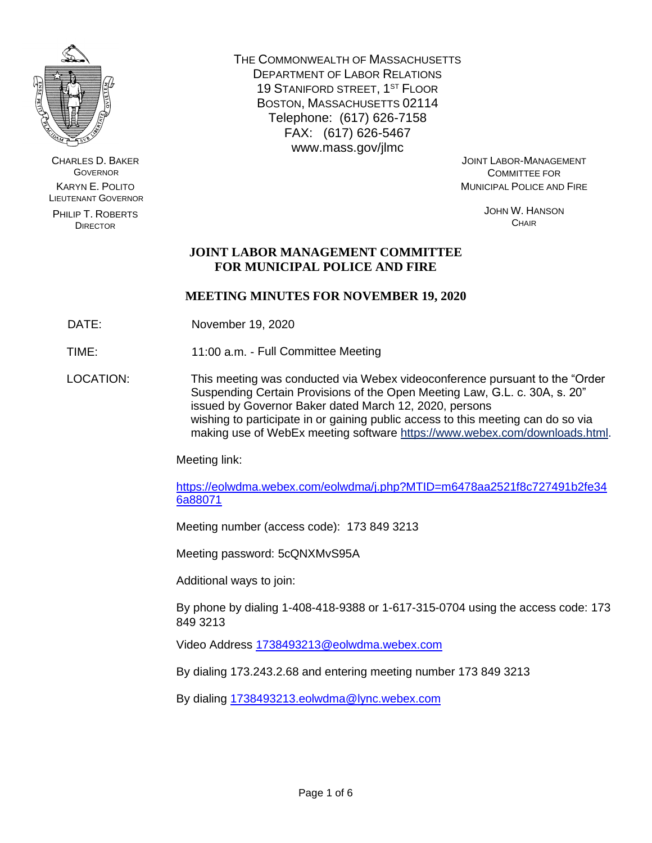

CHARLES D. BAKER **GOVERNOR** KARYN E. POLITO LIEUTENANT GOVERNOR

PHILIP T. ROBERTS DIRECTOR

THE COMMONWEALTH OF MASSACHUSETTS DEPARTMENT OF LABOR RELATIONS 19 STANIFORD STREET, 1ST FLOOR BOSTON, MASSACHUSETTS 02114 Telephone: (617) 626-7158 FAX: (617) 626-5467 www.mass.gov/jlmc

JOINT LABOR-MANAGEMENT COMMITTEE FOR MUNICIPAL POLICE AND FIRE

> JOHN W. HANSON **CHAIR**

# **JOINT LABOR MANAGEMENT COMMITTEE FOR MUNICIPAL POLICE AND FIRE**

# **MEETING MINUTES FOR NOVEMBER 19, 2020**

DATE: November 19, 2020

TIME: 11:00 a.m. - Full Committee Meeting

LOCATION: This meeting was conducted via Webex videoconference pursuant to the "Order Suspending Certain Provisions of the Open Meeting Law, G.L. c. 30A, s. 20" issued by Governor Baker dated March 12, 2020, persons wishing to participate in or gaining public access to this meeting can do so via making use of WebEx meeting software [https://www.webex.com/downloads.html.](https://www.webex.com/downloads.html)

Meeting link:

[https://eolwdma.webex.com/eolwdma/j.php?MTID=m6478aa2521f8c727491b2fe34](https://eolwdma.webex.com/eolwdma/j.php?MTID=m6478aa2521f8c727491b2fe346a88071) [6a88071](https://eolwdma.webex.com/eolwdma/j.php?MTID=m6478aa2521f8c727491b2fe346a88071)

Meeting number (access code): 173 849 3213

Meeting password: 5cQNXMvS95A

Additional ways to join:

By phone by dialing 1-408-418-9388 or 1-617-315-0704 using the access code: 173 849 3213

Video Address [1738493213@eolwdma.webex.com](mailto:1738493213@eolwdma.webex.com)

By dialing 173.243.2.68 and entering meeting number 173 849 3213

By dialing [1738493213.eolwdma@lync.webex.com](mailto:1738493213.eolwdma@lync.webex.com)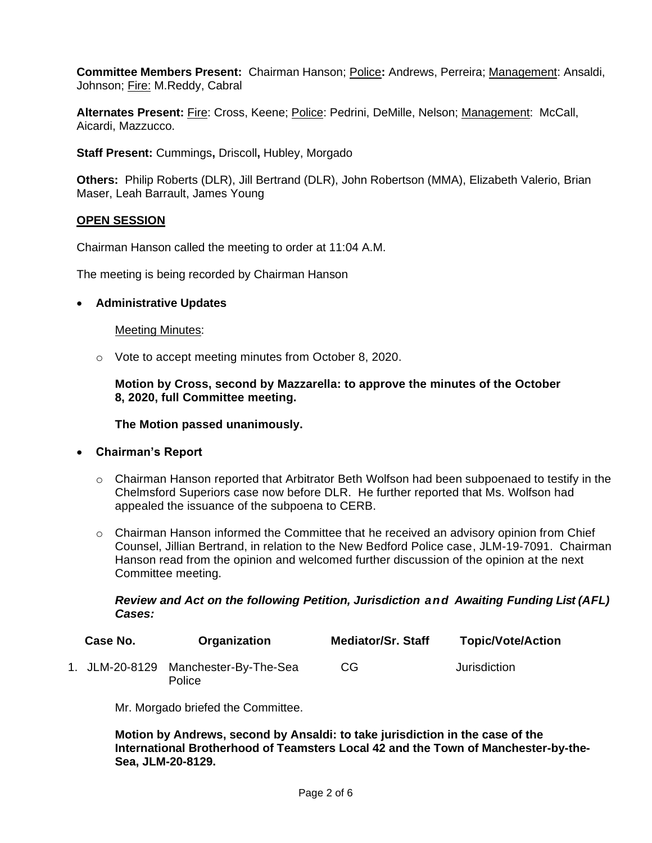**Committee Members Present:** Chairman Hanson; Police**:** Andrews, Perreira; Management: Ansaldi, Johnson; Fire: M.Reddy, Cabral

**Alternates Present:** Fire: Cross, Keene; Police: Pedrini, DeMille, Nelson; Management: McCall, Aicardi, Mazzucco.

**Staff Present:** Cummings**,** Driscoll**,** Hubley, Morgado

**Others:** Philip Roberts (DLR), Jill Bertrand (DLR), John Robertson (MMA), Elizabeth Valerio, Brian Maser, Leah Barrault, James Young

#### **OPEN SESSION**

Chairman Hanson called the meeting to order at 11:04 A.M.

The meeting is being recorded by Chairman Hanson

#### • **Administrative Updates**

#### Meeting Minutes:

o Vote to accept meeting minutes from October 8, 2020.

**Motion by Cross, second by Mazzarella: to approve the minutes of the October 8, 2020, full Committee meeting.**

**The Motion passed unanimously.**

#### • **Chairman's Report**

- $\circ$  Chairman Hanson reported that Arbitrator Beth Wolfson had been subpoenaed to testify in the Chelmsford Superiors case now before DLR. He further reported that Ms. Wolfson had appealed the issuance of the subpoena to CERB.
- $\circ$  Chairman Hanson informed the Committee that he received an advisory opinion from Chief Counsel, Jillian Bertrand, in relation to the New Bedford Police case, JLM-19-7091. Chairman Hanson read from the opinion and welcomed further discussion of the opinion at the next Committee meeting.

#### *Review and Act on the following Petition, Jurisdiction and Awaiting Funding List (AFL) Cases:*

| Case No. | Organization                                   | <b>Mediator/Sr. Staff</b> | <b>Topic/Vote/Action</b> |
|----------|------------------------------------------------|---------------------------|--------------------------|
|          | 1. JLM-20-8129 Manchester-By-The-Sea<br>Police | CG                        | Jurisdiction             |

Mr. Morgado briefed the Committee.

**Motion by Andrews, second by Ansaldi: to take jurisdiction in the case of the International Brotherhood of Teamsters Local 42 and the Town of Manchester-by-the-Sea, JLM-20-8129.**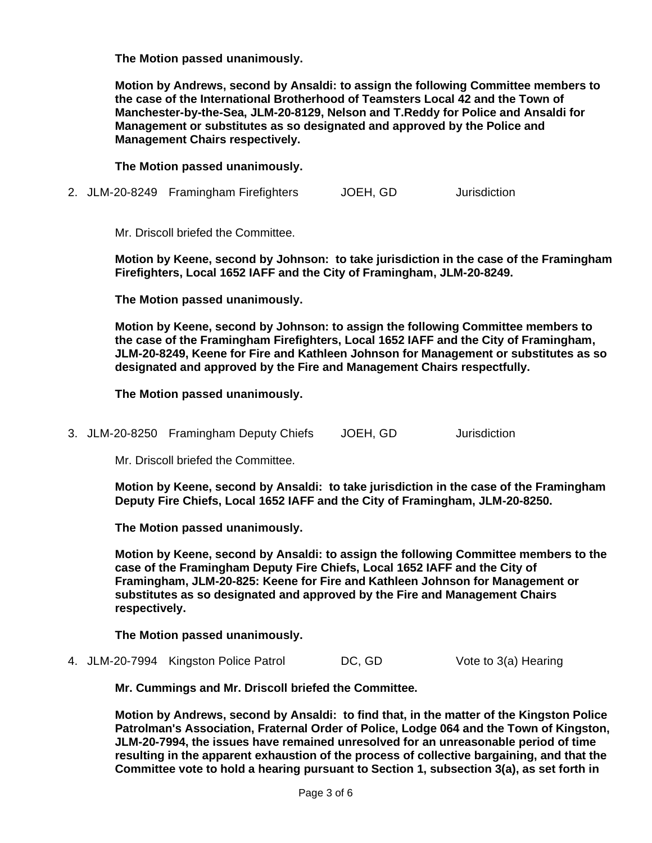**The Motion passed unanimously.**

**Motion by Andrews, second by Ansaldi: to assign the following Committee members to the case of the International Brotherhood of Teamsters Local 42 and the Town of Manchester-by-the-Sea, JLM-20-8129, Nelson and T.Reddy for Police and Ansaldi for Management or substitutes as so designated and approved by the Police and Management Chairs respectively.**

**The Motion passed unanimously.**

2. JLM-20-8249 Framingham Firefighters JOEH, GD Jurisdiction

Mr. Driscoll briefed the Committee.

**Motion by Keene, second by Johnson: to take jurisdiction in the case of the Framingham Firefighters, Local 1652 IAFF and the City of Framingham, JLM-20-8249.**

**The Motion passed unanimously.**

**Motion by Keene, second by Johnson: to assign the following Committee members to the case of the Framingham Firefighters, Local 1652 IAFF and the City of Framingham, JLM-20-8249, Keene for Fire and Kathleen Johnson for Management or substitutes as so designated and approved by the Fire and Management Chairs respectfully.** 

**The Motion passed unanimously.**

3. JLM-20-8250 Framingham Deputy Chiefs JOEH, GD Jurisdiction

Mr. Driscoll briefed the Committee.

**Motion by Keene, second by Ansaldi: to take jurisdiction in the case of the Framingham Deputy Fire Chiefs, Local 1652 IAFF and the City of Framingham, JLM-20-8250.**

**The Motion passed unanimously.**

**Motion by Keene, second by Ansaldi: to assign the following Committee members to the case of the Framingham Deputy Fire Chiefs, Local 1652 IAFF and the City of Framingham, JLM-20-825: Keene for Fire and Kathleen Johnson for Management or substitutes as so designated and approved by the Fire and Management Chairs respectively.**

**The Motion passed unanimously.**

4. JLM-20-7994 Kingston Police Patrol DC, GD Vote to 3(a) Hearing

**Mr. Cummings and Mr. Driscoll briefed the Committee.**

**Motion by Andrews, second by Ansaldi: to find that, in the matter of the Kingston Police Patrolman's Association, Fraternal Order of Police, Lodge 064 and the Town of Kingston, JLM-20-7994, the issues have remained unresolved for an unreasonable period of time resulting in the apparent exhaustion of the process of collective bargaining, and that the Committee vote to hold a hearing pursuant to Section 1, subsection 3(a), as set forth in**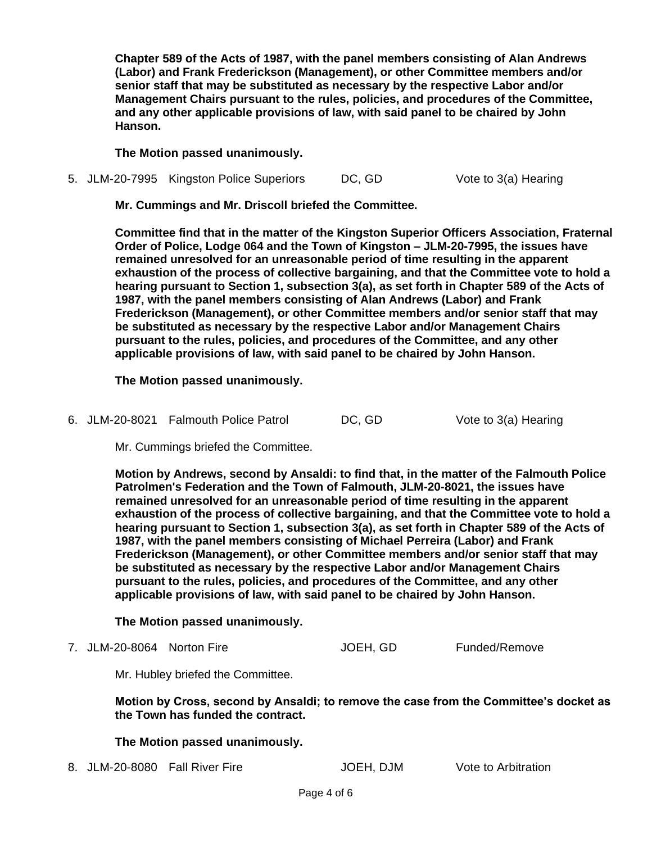**Chapter 589 of the Acts of 1987, with the panel members consisting of Alan Andrews (Labor) and Frank Frederickson (Management), or other Committee members and/or senior staff that may be substituted as necessary by the respective Labor and/or Management Chairs pursuant to the rules, policies, and procedures of the Committee, and any other applicable provisions of law, with said panel to be chaired by John Hanson.**

**The Motion passed unanimously.**

5. JLM-20-7995 Kingston Police Superiors DC, GD Vote to 3(a) Hearing

**Mr. Cummings and Mr. Driscoll briefed the Committee.**

**Committee find that in the matter of the Kingston Superior Officers Association, Fraternal Order of Police, Lodge 064 and the Town of Kingston – JLM-20-7995, the issues have remained unresolved for an unreasonable period of time resulting in the apparent exhaustion of the process of collective bargaining, and that the Committee vote to hold a hearing pursuant to Section 1, subsection 3(a), as set forth in Chapter 589 of the Acts of 1987, with the panel members consisting of Alan Andrews (Labor) and Frank Frederickson (Management), or other Committee members and/or senior staff that may be substituted as necessary by the respective Labor and/or Management Chairs pursuant to the rules, policies, and procedures of the Committee, and any other applicable provisions of law, with said panel to be chaired by John Hanson.**

**The Motion passed unanimously.**

6. JLM-20-8021 Falmouth Police Patrol DC, GD Vote to 3(a) Hearing

Mr. Cummings briefed the Committee.

**Motion by Andrews, second by Ansaldi: to find that, in the matter of the Falmouth Police Patrolmen's Federation and the Town of Falmouth, JLM-20-8021, the issues have remained unresolved for an unreasonable period of time resulting in the apparent exhaustion of the process of collective bargaining, and that the Committee vote to hold a hearing pursuant to Section 1, subsection 3(a), as set forth in Chapter 589 of the Acts of 1987, with the panel members consisting of Michael Perreira (Labor) and Frank Frederickson (Management), or other Committee members and/or senior staff that may be substituted as necessary by the respective Labor and/or Management Chairs pursuant to the rules, policies, and procedures of the Committee, and any other applicable provisions of law, with said panel to be chaired by John Hanson.**

**The Motion passed unanimously.**

7. JLM-20-8064 Norton Fire **JOEH, GD** Funded/Remove

Mr. Hubley briefed the Committee.

**Motion by Cross, second by Ansaldi; to remove the case from the Committee's docket as the Town has funded the contract.**

#### **The Motion passed unanimously.**

8. JLM-20-8080 Fall River Fire **JOEH, DJM** Vote to Arbitration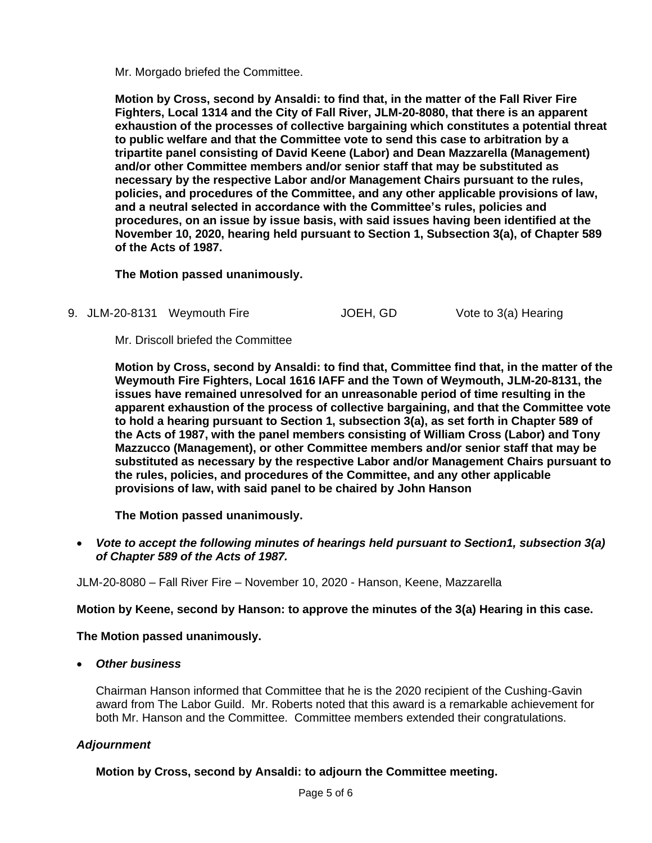Mr. Morgado briefed the Committee.

**Motion by Cross, second by Ansaldi: to find that, in the matter of the Fall River Fire Fighters, Local 1314 and the City of Fall River, JLM-20-8080, that there is an apparent exhaustion of the processes of collective bargaining which constitutes a potential threat to public welfare and that the Committee vote to send this case to arbitration by a tripartite panel consisting of David Keene (Labor) and Dean Mazzarella (Management) and/or other Committee members and/or senior staff that may be substituted as necessary by the respective Labor and/or Management Chairs pursuant to the rules, policies, and procedures of the Committee, and any other applicable provisions of law, and a neutral selected in accordance with the Committee's rules, policies and procedures, on an issue by issue basis, with said issues having been identified at the November 10, 2020, hearing held pursuant to Section 1, Subsection 3(a), of Chapter 589 of the Acts of 1987.** 

**The Motion passed unanimously.**

9. JLM-20-8131 Weymouth Fire **JOEH, GD** Vote to 3(a) Hearing

Mr. Driscoll briefed the Committee

**Motion by Cross, second by Ansaldi: to find that, Committee find that, in the matter of the Weymouth Fire Fighters, Local 1616 IAFF and the Town of Weymouth, JLM-20-8131, the issues have remained unresolved for an unreasonable period of time resulting in the apparent exhaustion of the process of collective bargaining, and that the Committee vote to hold a hearing pursuant to Section 1, subsection 3(a), as set forth in Chapter 589 of the Acts of 1987, with the panel members consisting of William Cross (Labor) and Tony Mazzucco (Management), or other Committee members and/or senior staff that may be substituted as necessary by the respective Labor and/or Management Chairs pursuant to the rules, policies, and procedures of the Committee, and any other applicable provisions of law, with said panel to be chaired by John Hanson**

**The Motion passed unanimously.**

• *Vote to accept the following minutes of hearings held pursuant to Section1, subsection 3(a) of Chapter 589 of the Acts of 1987.*

JLM-20-8080 – Fall River Fire – November 10, 2020 - Hanson, Keene, Mazzarella

## **Motion by Keene, second by Hanson: to approve the minutes of the 3(a) Hearing in this case.**

**The Motion passed unanimously.**

• *Other business*

Chairman Hanson informed that Committee that he is the 2020 recipient of the Cushing-Gavin award from The Labor Guild. Mr. Roberts noted that this award is a remarkable achievement for both Mr. Hanson and the Committee. Committee members extended their congratulations.

## *Adjournment*

**Motion by Cross, second by Ansaldi: to adjourn the Committee meeting.**